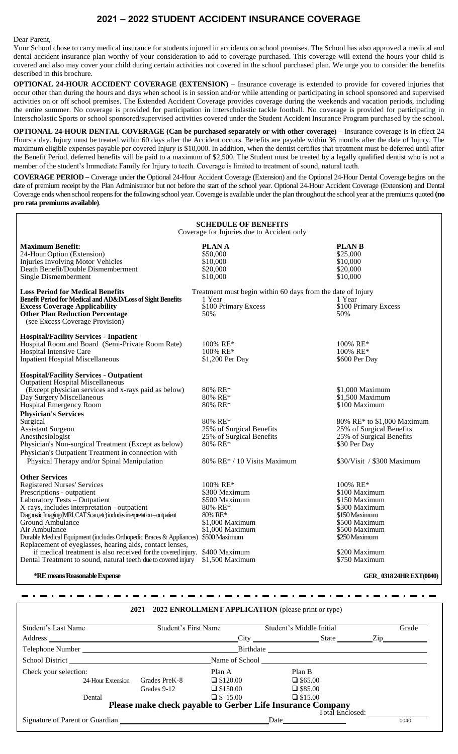## **2021 – 2022 STUDENT ACCIDENT INSURANCE COVERAGE**

Dear Parent,

Your School chose to carry medical insurance for students injured in accidents on school premises. The School has also approved a medical and dental accident insurance plan worthy of your consideration to add to coverage purchased. This coverage will extend the hours your child is covered and also may cover your child during certain activities not covered in the school purchased plan. We urge you to consider the benefits described in this brochure.

**OPTIONAL 24-HOUR ACCIDENT COVERAGE (EXTENSION)** – Insurance coverage is extended to provide for covered injuries that occur other than during the hours and days when school is in session and/or while attending or participating in school sponsored and supervised activities on or off school premises. The Extended Accident Coverage provides coverage during the weekends and vacation periods, including the entire summer. No coverage is provided for participation in interscholastic tackle football. No coverage is provided for participating in Interscholastic Sports or school sponsored/supervised activities covered under the Student Accident Insurance Program purchased by the school.

**OPTIONAL 24-HOUR DENTAL COVERAGE (Can be purchased separately or with other coverage) –** Insurance coverage is in effect 24 Hours a day. Injury must be treated within 60 days after the Accident occurs. Benefits are payable within 36 months after the date of Injury. The maximum eligible expenses payable per covered Injury is \$10,000. In addition, when the dentist certifies that treatment must be deferred until after the Benefit Period, deferred benefits will be paid to a maximum of \$2,500. The Student must be treated by a legally qualified dentist who is not a member of the student's Immediate Family for Injury to teeth. Coverage is limited to treatment of sound, natural teeth.

**COVERAGE PERIOD –** Coverage under the Optional 24-Hour Accident Coverage (Extension) and the Optional 24-Hour Dental Coverage begins on the date of premium receipt by the Plan Administrator but not before the start of the school year. Optional 24-Hour Accident Coverage (Extension) and Dental Coverage ends when school reopens for the following school year. Coverage is available under the plan throughout the school year at the premiums quoted **(no pro rata premiums available)**.

| <b>SCHEDULE OF BENEFITS</b><br>Coverage for Injuries due to Accident only                                                                                                                                                                                                                                                                                                                                                                                                                                                                                                           |                                                                                                                                             |                                                                                                                                                                                         |
|-------------------------------------------------------------------------------------------------------------------------------------------------------------------------------------------------------------------------------------------------------------------------------------------------------------------------------------------------------------------------------------------------------------------------------------------------------------------------------------------------------------------------------------------------------------------------------------|---------------------------------------------------------------------------------------------------------------------------------------------|-----------------------------------------------------------------------------------------------------------------------------------------------------------------------------------------|
| <b>Maximum Benefit:</b><br>24-Hour Option (Extension)<br><b>Injuries Involving Motor Vehicles</b><br>Death Benefit/Double Dismemberment<br>Single Dismemberment                                                                                                                                                                                                                                                                                                                                                                                                                     | <b>PLANA</b><br>\$50,000<br>\$10,000<br>\$20,000<br>\$10,000                                                                                | <b>PLAN B</b><br>\$25,000<br>\$10,000<br>\$20,000<br>\$10,000                                                                                                                           |
| <b>Loss Period for Medical Benefits</b><br>Benefit Period for Medical and AD&D/Loss of Sight Benefits<br><b>Excess Coverage Applicability</b><br><b>Other Plan Reduction Percentage</b><br>(see Excess Coverage Provision)                                                                                                                                                                                                                                                                                                                                                          | Treatment must begin within 60 days from the date of Injury<br>1 Year<br>\$100 Primary Excess<br>50%                                        | 1 Year<br>\$100 Primary Excess<br>50%                                                                                                                                                   |
| <b>Hospital/Facility Services - Inpatient</b><br>Hospital Room and Board (Semi-Private Room Rate)<br>Hospital Intensive Care<br><b>Inpatient Hospital Miscellaneous</b>                                                                                                                                                                                                                                                                                                                                                                                                             | $100\%$ RE*<br>100% RE*<br>\$1,200 Per Day                                                                                                  | $100\%$ RE*<br>100% RE*<br>\$600 Per Day                                                                                                                                                |
| <b>Hospital/Facility Services - Outpatient</b><br><b>Outpatient Hospital Miscellaneous</b><br>(Except physician services and x-rays paid as below)<br>Day Surgery Miscellaneous<br>Hospital Emergency Room<br><b>Physician's Services</b><br>Surgical<br><b>Assistant Surgeon</b><br>Anesthesiologist<br>Physician's Non-surgical Treatment (Except as below)<br>Physician's Outpatient Treatment in connection with<br>Physical Therapy and/or Spinal Manipulation                                                                                                                 | 80% RE*<br>80% RE*<br>80% RE*<br>80% RE*<br>25% of Surgical Benefits<br>25% of Surgical Benefits<br>80% RE*<br>80% RE* / 10 Visits Maximum  | \$1,000 Maximum<br>\$1,500 Maximum<br>\$100 Maximum<br>80% RE* to \$1,000 Maximum<br>25% of Surgical Benefits<br>25% of Surgical Benefits<br>\$30 Per Day<br>\$30/Visit / \$300 Maximum |
| <b>Other Services</b><br><b>Registered Nurses' Services</b><br>Prescriptions - outpatient<br>Laboratory Tests - Outpatient<br>X-rays, includes interpretation - outpatient<br>Diagnostic Imaging (MRI, CAT Scan, etc) includes interpretation - outpatient<br>Ground Ambulance<br>Air Ambulance<br>Durable Medical Equipment (includes Orthopedic Braces & Appliances)<br>Replacement of eyeglasses, hearing aids, contact lenses,<br>if medical treatment is also received for the covered injury. \$400 Maximum<br>Dental Treatment to sound, natural teeth due to covered injury | 100% RE*<br>\$300 Maximum<br>\$500 Maximum<br>80% RE*<br>80% RE*<br>\$1,000 Maximum<br>\$1,000 Maximum<br>\$500 Maximum<br>$$1,500$ Maximum | $100\%$ RE*<br>\$100 Maximum<br>\$150 Maximum<br>\$300 Maximum<br>\$150 Maximum<br>\$500 Maximum<br>\$500 Maximum<br>\$250 Maximum<br>\$200 Maximum<br>\$750 Maximum                    |

\***RE means Reasonable Expense GER\_ 0318 24HR EXT(0040)**

**2021 – 2022 ENROLLMENT APPLICATION** (please print or type) Student's Last Name Student's First Name Student's Middle Initial Grade Address City State Zip Telephone Number Birthdate School District Name of School Name of School Check your selection: Plan A Plan B 24-Hour Extension Grades PreK-8  $\Box$  \$120.00  $\Box$  \$65.00 Grades 9-12  $\Box$  \$150.00  $\Box$  \$85.00 Dental  $\Box$  \$15.00  $\Box$  \$15.00 **Please make check payable to Gerber Life Insurance Company** Total Enclosed: Signature of Parent or Guardian 20040 20040 20040 20040 20040 20040 20040 20040 20040 20040 20040 20040 20040

 $\frac{1}{2} \left( \frac{1}{2} \right) \frac{1}{2} \left( \frac{1}{2} \right) \frac{1}{2} \left( \frac{1}{2} \right) \frac{1}{2} \left( \frac{1}{2} \right) \frac{1}{2} \left( \frac{1}{2} \right) \frac{1}{2} \left( \frac{1}{2} \right) \frac{1}{2} \left( \frac{1}{2} \right) \frac{1}{2} \left( \frac{1}{2} \right) \frac{1}{2} \left( \frac{1}{2} \right) \frac{1}{2} \left( \frac{1}{2} \right) \frac{1}{2} \left( \frac{1}{2} \right)$